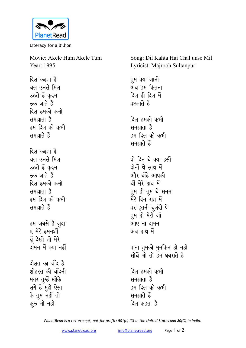

Literacy for a Billion

Movie: Akele Hum Akele Tum Year: 1995

<u>दिल कहता है</u> <u>चल उनसे मिल</u> उठते हैं कदम **म्ब्रु** जाते हैं <u>दिल हमको कभी</u> समझाता है हम दिल को कभी समझाते हैं <u>दिल कहता है</u> <u>चल उनसे मिल</u> उठते हैं क़दम **म्ब्रु** जाते हैं <u>दिल हमको कभी</u> समझाता है हम दिल को कभी *<u>RHande</u>* हम जबसे हैं जूदा ए मेरे हमनशीं मूँ देखो तो मेरे <u>तामन में क्या नहीं</u> <u>दौलत का चाँद है</u> शोहरत की चाँदनी मगर तुम्हें खोके

लगे है मुझे ऐसा के तूम नहीं तो कूछ भी नहीं

Song: Dil Kahta Hai Chal unse Mil Lyricist: Majrooh Sultanpuri

*तुम क्या जानो* ्<br>अब हम कितना दिल ही दिल में पछताते हैं **दिल हमको कभी <del>u</del>** समझाता है हम दिल को कभी *RHand* हैं <u>वो दिन थे क्या हसीं</u> <u>दोनों थे साथ में</u> <u>और बाँहें आपकी</u> थीं मेरे हाथ में तुम ही तुम थे सनम मेरे दिन<sup>ॅ</sup>रात में पर इतनी बुलंदी पे तुम हो मेरी जाँ आए ना दामन अब हाथ में पाना तुमको मुमकिन ही नहीं <u>सोचें भी तो हम घबराते हैं</u> <u>दिल हमको कभी</u> समझाता है हम दिल को कभी

**H**मझाते हैं <u>दिल कहता है</u>

*PlanetRead is a tax-exempt, not-for-profit: 501(c) (3) in the United States and 80(G) in India.*